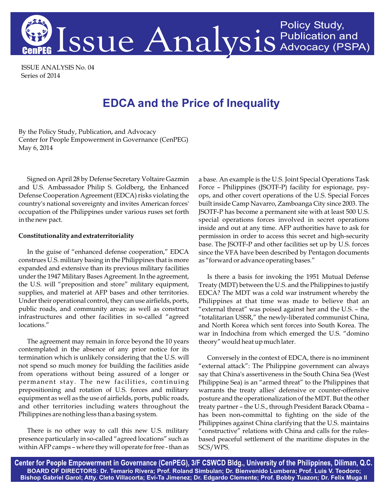

ISSUE ANALYSIS No. 04 Series of 2014

## **EDCA and the Price of Inequality**

By the Policy Study, Publication, and Advocacy Center for People Empowerment in Governance (CenPEG) May 6, 2014

Signed on April 28 by Defense Secretary Voltaire Gazmin and U.S. Ambassador Philip S. Goldberg, the Enhanced Defense Cooperation Agreement (EDCA) risks violating the country's national sovereignty and invites American forces' occupation of the Philippines under various ruses set forth in the new pact.

## **Constitutionality and extraterritoriality**

In the guise of "enhanced defense cooperation," EDCA construes U.S. military basing in the Philippines that is more expanded and extensive than its previous military facilities under the 1947 Military Bases Agreement. In the agreement, the U.S. will "preposition and store" military equipment, supplies, and materiel at AFP bases and other territories. Under their operational control, they can use airfields, ports, public roads, and community areas; as well as construct infrastructures and other facilities in so-called "agreed locations."

The agreement may remain in force beyond the 10 years contemplated in the absence of any prior notice for its termination which is unlikely considering that the U.S. will not spend so much money for building the facilities aside from operations without being assured of a longer or permanent stay. The new facilities, continuing prepositioning and rotation of U.S. forces and military equipment as well as the use of airfields, ports, public roads, and other territories including waters throughout the Philippines are nothing less than a basing system.

There is no other way to call this new U.S. military presence particularly in so-called "agreed locations" such as within AFP camps – where they will operate for free - than as a base. An example is the U.S. Joint Special Operations Task Force – Philippines (JSOTF-P) facility for espionage, psyops, and other covert operations of the U.S. Special Forces built inside Camp Navarro, Zamboanga City since 2003. The JSOTF-P has become a permanent site with at least 500 U.S. special operations forces involved in secret operations inside and out at any time. AFP authorities have to ask for permission in order to access this secret and high-security base. The JSOTF-P and other facilities set up by U.S. forces since the VFA have been described by Pentagon documents as "forward or advance operating bases."

Is there a basis for invoking the 1951 Mutual Defense Treaty (MDT) between the U.S. and the Philippines to justify EDCA? The MDT was a cold war instrument whereby the Philippines at that time was made to believe that an "external threat" was poised against her and the U.S. – the "totalitarian USSR," the newly-liberated communist China, and North Korea which sent forces into South Korea. The war in Indochina from which emerged the U.S. "domino theory" would heat up much later.

Conversely in the context of EDCA, there is no imminent "external attack": The Philippine government can always say that China's assertiveness in the South China Sea (West Philippine Sea) is an "armed threat" to the Philippines that warrants the treaty allies' defensive or counter-offensive posture and the operationalization of the MDT. But the other treaty partner – the U.S., through President Barack Obama – has been non-committal to fighting on the side of the Philippines against China clarifying that the U.S. maintains "constructive" relations with China and calls for the rulesbased peaceful settlement of the maritime disputes in the SCS/WPS.

Center for People Empowerment in Governance (CenPEG), 3/F CSWCD Bldg., University of the Philippines, Diliman, Q.C. BOARD OF DIRECTORS: Dr. Temario Rivera; Prof. Roland Simbulan; Dr. Bienvenido Lumbera; Prof. Luis V. Teodoro; Bishop Gabriel Garol; Atty. Cleto Villacorta; Evi-Ta Jimenez; Dr. Edgardo Clemente; Prof. Bobby Tuazon; Dr. Felix Muga II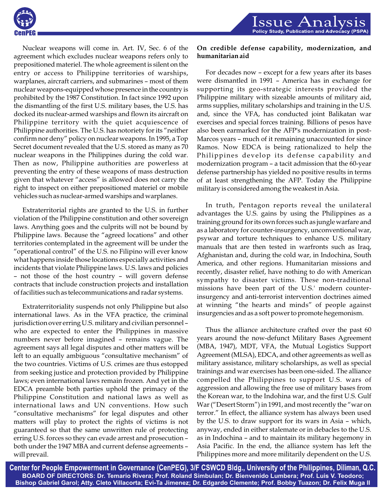

Issue A Policy Study, Publication and Advocacy (PSP/

Nuclear weapons will come in. Art. IV, Sec. 6 of the agreement which excludes nuclear weapons refers only to prepositioned materiel. The whole agreement is silent on the entry or access to Philippine territories of warships, warplanes, aircraft carriers, and submarines – most of them nuclear weapons-equipped whose presence in the country is prohibited by the 1987 Constitution. In fact since 1992 upon the dismantling of the first U.S. military bases, the U.S. has docked its nuclear-armed warships and flown its aircraft on Philippine territory with the quiet acquiescence of Philippine authorities. The U.S. has notoriety for its "neither confirm nor deny" policy on nuclear weapons. In 1995, a Top Secret document revealed that the U.S. stored as many as 70 nuclear weapons in the Philippines during the cold war. Then as now, Philippine authorities are powerless at preventing the entry of these weapons of mass destruction given that whatever "access" is allowed does not carry the right to inspect on either prepositioned materiel or mobile vehicles such as nuclear-armed warships and warplanes.

Extraterritorial rights are granted to the U.S. in further violation of the Philippine constitution and other sovereign laws. Anything goes and the culprits will not be bound by Philippine laws. Because the "agreed locations" and other territories contemplated in the agreement will be under the "operational control" of the U.S. no Filipino will ever know what happens inside those locations especially activities and incidents that violate Philippine laws. U.S. laws and policies – not those of the host country – will govern defense contracts that include construction projects and installation of facilities such as telecommunications and radar systems.

Extraterritoriality suspends not only Philippine but also international laws. As in the VFA practice, the criminal jurisdiction over erring U.S. military and civilian personnel – who are expected to enter the Philippines in massive numbers never before imagined – remains vague. The agreement says all legal disputes and other matters will be left to an equally ambiguous "consultative mechanism" of the two countries. Victims of U.S. crimes are thus estopped from seeking justice and protection provided by Philippine laws; even international laws remain frozen. And yet in the EDCA preamble both parties uphold the primacy of the Philippine Constitution and national laws as well as international laws and UN conventions. How such "consultative mechanisms" for legal disputes and other matters will play to protect the rights of victims is not guaranteed so that the same unwritten rule of protecting erring U.S. forces so they can evade arrest and prosecution – both under the 1947 MBA and current defense agreements – will prevail.

## **On credible defense capability, modernization, and humanitarian aid**

For decades now – except for a few years after its bases were dismantled in 1991 – America has in exchange for supporting its geo-strategic interests provided the Philippine military with sizeable amounts of military aid, arms supplies, military scholarships and training in the U.S. and, since the VFA, has conducted joint Balikatan war exercises and special forces training. Billions of pesos have also been earmarked for the AFP's modernization in post-Marcos years – much of it remaining unaccounted for since Ramos. Now EDCA is being rationalized to help the Philippines develop its defense capability and modernization program – a tacit admission that the 60-year defense partnership has yielded no positive results in terms of at least strengthening the AFP. Today the Philippine military is considered among the weakest in Asia.

In truth, Pentagon reports reveal the unilateral advantages the U.S. gains by using the Philippines as a training ground for its own forces such as jungle warfare and as a laboratory for counter-insurgency, unconventional war, psywar and torture techniques to enhance U.S. military manuals that are then tested in warfronts such as Iraq, Afghanistan and, during the cold war, in Indochina, South America, and other regions. Humanitarian missions and recently, disaster relief, have nothing to do with American sympathy to disaster victims. These non-traditional missions have been part of the U.S.' modern counterinsurgency and anti-terrorist intervention doctrines aimed at winning "the hearts and minds" of people against insurgencies and as a soft power to promote hegemonism.

Thus the alliance architecture crafted over the past 60 years around the now-defunct Military Bases Agreement (MBA, 1947), MDT, VFA, the Mutual Logistics Support Agreement (MLSA), EDCA, and other agreements as well as military assistance, military scholarships, as well as special trainings and war exercises has been one-sided. The alliance compelled the Philippines to support U.S. wars of aggression and allowing the free use of military bases from the Korean war, to the Indohina war, and the first U.S. Gulf War ("Desert Storm") in 1991, and most recently the "war on terror." In effect, the alliance system has always been used by the U.S. to draw support for its wars in Asia – which, anyway, ended in either stalemate or in debacles to the U.S. as in Indochina – and to maintain its military hegemony in Asia Pacific. In the end, the alliance system has left the Philippines more and more militarily dependent on the U.S.

Center for People Empowerment in Governance (CenPEG), 3/F CSWCD Bldg., University of the Philippines, Diliman, Q.C. BOARD OF DIRECTORS: Dr. Temario Rivera; Prof. Roland Simbulan; Dr. Bienvenido Lumbera; Prof. Luis V. Teodoro; Bishop Gabriel Garol; Atty. Cleto Villacorta; Evi-Ta Jimenez; Dr. Edgardo Clemente; Prof. Bobby Tuazon; Dr. Felix Muga II